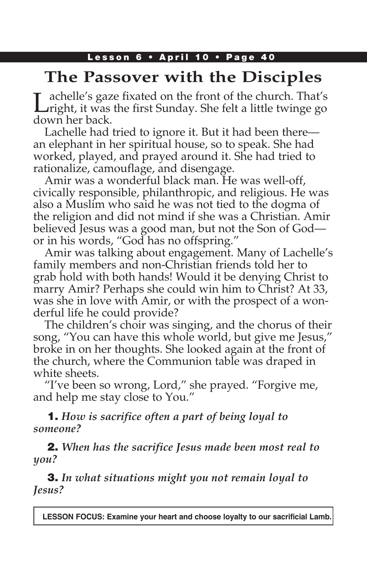### Lesson 6 · April 10 · Page 40

# **The Passover with the Disciples**

Lachelle's gaze fixated on the front of the church. That's Linght, it was the first Sunday. She felt a little twinge go down her back.

Lachelle had tried to ignore it. But it had been there an elephant in her spiritual house, so to speak. She had worked, played, and prayed around it. She had tried to rationalize, camouflage, and disengage.

Amir was a wonderful black man. He was well-off, civically responsible, philanthropic, and religious. He was also a Muslim who said he was not tied to the dogma of the religion and did not mind if she was a Christian. Amir believed Jesus was a good man, but not the Son of God or in his words, "God has no offspring."

Amir was talking about engagement. Many of Lachelle's family members and non-Christian friends told her to grab hold with both hands! Would it be denying Christ to marry Amir? Perhaps she could win him to Christ? At 33, was she in love with Amir, or with the prospect of a wonderful life he could provide?

The children's choir was singing, and the chorus of their song, "You can have this whole world, but give me Jesus," broke in on her thoughts. She looked again at the front of the church, where the Communion table was draped in white sheets.

"I've been so wrong, Lord," she prayed. "Forgive me, and help me stay close to You."

1. *How is sacrifice often a part of being loyal to someone?* 

2. *When has the sacrifice Jesus made been most real to you?* 

3. *In what situations might you not remain loyal to Jesus?*

**LESSON FOCUS: Examine your heart and choose loyalty to our sacrificial Lamb.**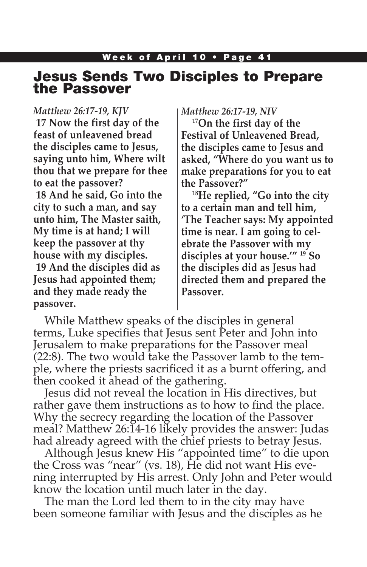### Jesus Sends Two Disciples to Prepare the Passover

#### *Matthew 26:17-19, KJV*

**17 Now the first day of the feast of unleavened bread the disciples came to Jesus, saying unto him, Where wilt thou that we prepare for thee to eat the passover? 18 And he said, Go into the city to such a man, and say unto him, The Master saith, My time is at hand; I will keep the passover at thy house with my disciples. 19 And the disciples did as** 

**Jesus had appointed them; and they made ready the passover.**

#### *Matthew 26:17-19, NIV*

**17On the first day of the Festival of Unleavened Bread, the disciples came to Jesus and asked, "Where do you want us to make preparations for you to eat the Passover?"**

**18He replied, "Go into the city to a certain man and tell him, 'The Teacher says: My appointed time is near. I am going to celebrate the Passover with my disciples at your house.'" 19 So the disciples did as Jesus had directed them and prepared the Passover.**

While Matthew speaks of the disciples in general terms, Luke specifies that Jesus sent Peter and John into Jerusalem to make preparations for the Passover meal (22:8). The two would take the Passover lamb to the temple, where the priests sacrificed it as a burnt offering, and then cooked it ahead of the gathering.

Jesus did not reveal the location in His directives, but rather gave them instructions as to how to find the place. Why the secrecy regarding the location of the Passover meal? Matthew 26:14-16 likely provides the answer: Judas had already agreed with the chief priests to betray Jesus.

Although Jesus knew His "appointed time" to die upon the Cross was "near" (vs. 18), He did not want His evening interrupted by His arrest. Only John and Peter would know the location until much later in the day.

The man the Lord led them to in the city may have been someone familiar with Jesus and the disciples as he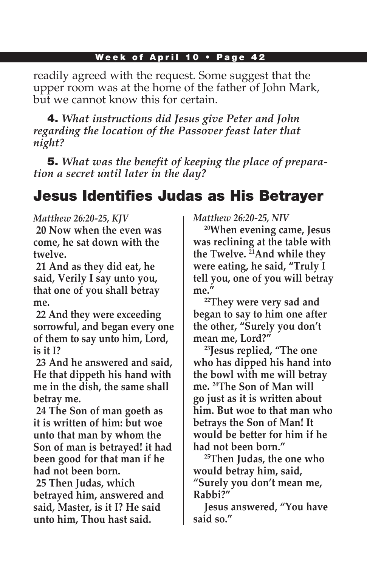readily agreed with the request. Some suggest that the upper room was at the home of the father of John Mark, but we cannot know this for certain.

4. *What instructions did Jesus give Peter and John regarding the location of the Passover feast later that night?*

5. *What was the benefit of keeping the place of preparation a secret until later in the day?*

# Jesus Identifies Judas as His Betrayer

#### *Matthew 26:20-25, KJV*

**20 Now when the even was come, he sat down with the twelve.**

**21 And as they did eat, he said, Verily I say unto you, that one of you shall betray me.**

**22 And they were exceeding sorrowful, and began every one of them to say unto him, Lord, is it I?**

**23 And he answered and said, He that dippeth his hand with me in the dish, the same shall betray me.**

**24 The Son of man goeth as it is written of him: but woe unto that man by whom the Son of man is betrayed! it had been good for that man if he had not been born.**

**25 Then Judas, which betrayed him, answered and said, Master, is it I? He said unto him, Thou hast said.**

*Matthew 26:20-25, NIV*

**20When evening came, Jesus was reclining at the table with the Twelve. 21And while they were eating, he said, "Truly I tell you, one of you will betray me."**

**22They were very sad and began to say to him one after the other, "Surely you don't mean me, Lord?"**

**23Jesus replied, "The one who has dipped his hand into the bowl with me will betray me. 24The Son of Man will go just as it is written about him. But woe to that man who betrays the Son of Man! It would be better for him if he had not been born."**

**25Then Judas, the one who would betray him, said, "Surely you don't mean me, Rabbi?"**

**Jesus answered, "You have said so."**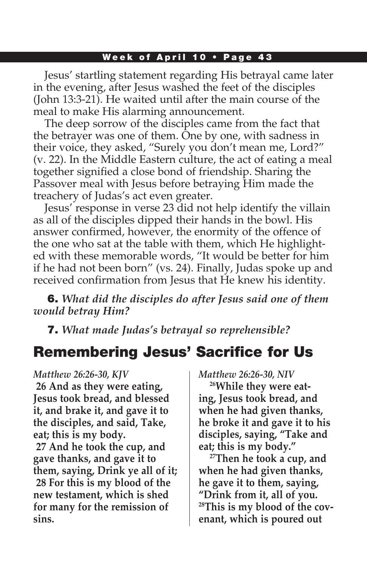Jesus' startling statement regarding His betrayal came later in the evening, after Jesus washed the feet of the disciples (John 13:3-21). He waited until after the main course of the meal to make His alarming announcement.

The deep sorrow of the disciples came from the fact that the betrayer was one of them. One by one, with sadness in their voice, they asked, "Surely you don't mean me, Lord?" (v. 22). In the Middle Eastern culture, the act of eating a meal together signified a close bond of friendship. Sharing the Passover meal with Jesus before betraying Him made the treachery of Judas's act even greater.

Jesus' response in verse 23 did not help identify the villain as all of the disciples dipped their hands in the bowl. His answer confirmed, however, the enormity of the offence of the one who sat at the table with them, which He highlighted with these memorable words, "It would be better for him if he had not been born" (vs. 24). Finally, Judas spoke up and received confirmation from Jesus that He knew his identity.

6. *What did the disciples do after Jesus said one of them would betray Him?*

7. *What made Judas's betrayal so reprehensible?*

# Remembering Jesus' Sacrifice for Us

*Matthew 26:26-30, KJV* **26 And as they were eating, Jesus took bread, and blessed it, and brake it, and gave it to the disciples, and said, Take, eat; this is my body. 27 And he took the cup, and gave thanks, and gave it to them, saying, Drink ye all of it; 28 For this is my blood of the new testament, which is shed for many for the remission of sins.**

*Matthew 26:26-30, NIV*

**26While they were eating, Jesus took bread, and when he had given thanks, he broke it and gave it to his disciples, saying, "Take and eat; this is my body."**

**27Then he took a cup, and when he had given thanks, he gave it to them, saying, "Drink from it, all of you. 28This is my blood of the covenant, which is poured out**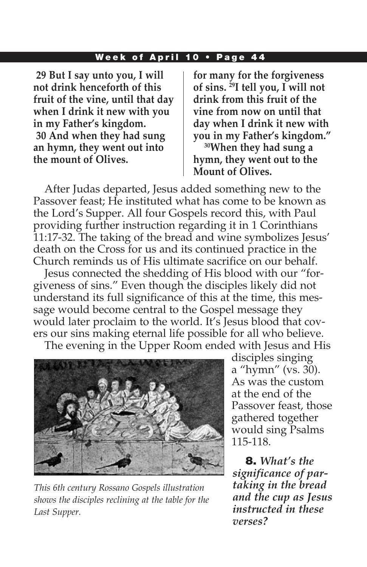**29 But I say unto you, I will not drink henceforth of this fruit of the vine, until that day when I drink it new with you in my Father's kingdom. 30 And when they had sung an hymn, they went out into the mount of Olives.**

**for many for the forgiveness of sins. 29I tell you, I will not drink from this fruit of the vine from now on until that day when I drink it new with you in my Father's kingdom."**

**30When they had sung a hymn, they went out to the Mount of Olives.**

After Judas departed, Jesus added something new to the Passover feast; He instituted what has come to be known as the Lord's Supper. All four Gospels record this, with Paul providing further instruction regarding it in 1 Corinthians 11:17-32. The taking of the bread and wine symbolizes Jesus' death on the Cross for us and its continued practice in the Church reminds us of His ultimate sacrifice on our behalf.

Jesus connected the shedding of His blood with our "forgiveness of sins." Even though the disciples likely did not understand its full significance of this at the time, this message would become central to the Gospel message they would later proclaim to the world. It's Jesus blood that covers our sins making eternal life possible for all who believe.

The evening in the Upper Room ended with Jesus and His



*This 6th century Rossano Gospels illustration shows the disciples reclining at the table for the Last Supper.*

disciples singing a "hymn" (vs. 30). As was the custom at the end of the Passover feast, those gathered together would sing Psalms 115-118.

8. *What's the significance of partaking in the bread and the cup as Jesus instructed in these verses?*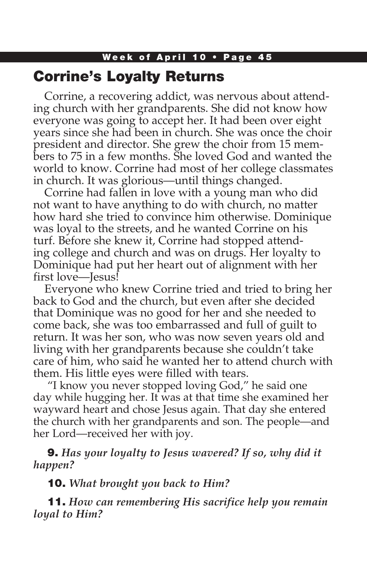# Week of April 10 • Page 45 Corrine's Loyalty Returns

Corrine, a recovering addict, was nervous about attending church with her grandparents. She did not know how everyone was going to accept her. It had been over eight years since she had been in church. She was once the choir president and director. She grew the choir from 15 members to 75 in a few months. She loved God and wanted the world to know. Corrine had most of her college classmates in church. It was glorious—until things changed.

Corrine had fallen in love with a young man who did not want to have anything to do with church, no matter how hard she tried to convince him otherwise. Dominique was loyal to the streets, and he wanted Corrine on his turf. Before she knew it, Corrine had stopped attending college and church and was on drugs. Her loyalty to Dominique had put her heart out of alignment with her first love—Jesus!

Everyone who knew Corrine tried and tried to bring her back to God and the church, but even after she decided that Dominique was no good for her and she needed to come back, she was too embarrassed and full of guilt to return. It was her son, who was now seven years old and living with her grandparents because she couldn't take care of him, who said he wanted her to attend church with them. His little eyes were filled with tears.

 "I know you never stopped loving God," he said one day while hugging her. It was at that time she examined her wayward heart and chose Jesus again. That day she entered the church with her grandparents and son. The people—and her Lord—received her with joy.

9. *Has your loyalty to Jesus wavered? If so, why did it happen?*

10. *What brought you back to Him?*

11. *How can remembering His sacrifice help you remain loyal to Him?*